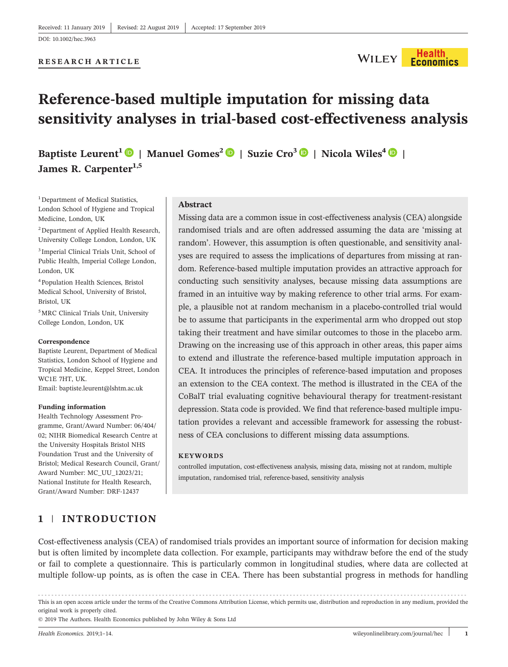

# **RESEARCH ARTICLE**<br> **Reference-based multiple imputation for missing data sensitivity analyses in trial‐based cost‐effectiveness analysis**

**Baptiste Leurent<sup>1</sup>**  $\bullet$ **</sup> | Manuel Gomes<sup>2</sup>**  $\bullet$  **| Suzie Cro<sup>3</sup>**  $\bullet$  **| Nicola Wiles<sup>4</sup>**  $\bullet$  **| James R. Carpenter1,5**

<sup>1</sup> Department of Medical Statistics, London School of Hygiene and Tropical Medicine, London, UK

<sup>2</sup> Department of Applied Health Research, University College London, London, UK

3 Imperial Clinical Trials Unit, School of Public Health, Imperial College London, London, UK

4 Population Health Sciences, Bristol Medical School, University of Bristol, Bristol, UK

<sup>5</sup> MRC Clinical Trials Unit, University College London, London, UK

#### **Correspondence**

Baptiste Leurent, Department of Medical Statistics, London School of Hygiene and Tropical Medicine, Keppel Street, London WC1E 7HT, UK. Email: baptiste.leurent@lshtm.ac.uk

#### **Funding information**

Health Technology Assessment Programme, Grant/Award Number: 06/404/ 02; NIHR Biomedical Research Centre at the University Hospitals Bristol NHS Foundation Trust and the University of Bristol; Medical Research Council, Grant/ Award Number: MC\_UU\_12023/21; National Institute for Health Research, Grant/Award Number: DRF‐12437

#### **Abstract**

Missing data are a common issue in cost‐effectiveness analysis (CEA) alongside randomised trials and are often addressed assuming the data are 'missing at random'. However, this assumption is often questionable, and sensitivity analyses are required to assess the implications of departures from missing at random. Reference‐based multiple imputation provides an attractive approach for conducting such sensitivity analyses, because missing data assumptions are framed in an intuitive way by making reference to other trial arms. For example, a plausible not at random mechanism in a placebo‐controlled trial would be to assume that participants in the experimental arm who dropped out stop taking their treatment and have similar outcomes to those in the placebo arm. Drawing on the increasing use of this approach in other areas, this paper aims to extend and illustrate the reference‐based multiple imputation approach in CEA. It introduces the principles of reference‐based imputation and proposes an extension to the CEA context. The method is illustrated in the CEA of the CoBalT trial evaluating cognitive behavioural therapy for treatment‐resistant depression. Stata code is provided. We find that reference‐based multiple imputation provides a relevant and accessible framework for assessing the robustness of CEA conclusions to different missing data assumptions.

#### **KEYWORDS**

controlled imputation, cost-effectiveness analysis, missing data, missing not at random, multiple imputation, randomised trial, reference-based, sensitivity analysis

## **1** | **INTRODUCTION**

Cost-effectiveness analysis (CEA) of randomised trials provides an important source of information for decision making but is often limited by incomplete data collection. For example, participants may withdraw before the end of the study or fail to complete a questionnaire. This is particularly common in longitudinal studies, where data are collected at multiple follow-up points, as is often the case in CEA. There has been substantial progress in methods for handling

------------------------------------------------------------------------------------------------------------------------------- - This is an open access article under the terms of the [Creative Commons Attribution](http://creativecommons.org/licenses/by/4.0/) License, which permits use, distribution and reproduction in any medium, provided the original work is properly cited.

© 2019 The Authors. Health Economics published by John Wiley & Sons Ltd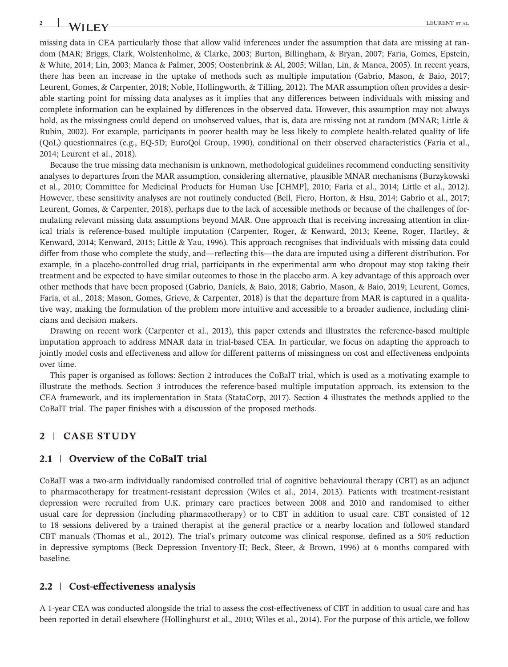missing data in CEA particularly those that allow valid inferences under the assumption that data are missing at random (MAR; Briggs, Clark, Wolstenholme, & Clarke, 2003; Burton, Billingham, & Bryan, 2007; Faria, Gomes, Epstein, & White, 2014; Lin, 2003; Manca & Palmer, 2005; Oostenbrink & Al, 2005; Willan, Lin, & Manca, 2005). In recent years, there has been an increase in the uptake of methods such as multiple imputation (Gabrio, Mason, & Baio, 2017; Leurent, Gomes, & Carpenter, 2018; Noble, Hollingworth, & Tilling, 2012). The MAR assumption often provides a desirable starting point for missing data analyses as it implies that any differences between individuals with missing and complete information can be explained by differences in the observed data. However, this assumption may not always hold, as the missingness could depend on unobserved values, that is, data are missing not at random (MNAR; Little & Rubin, 2002). For example, participants in poorer health may be less likely to complete health-related quality of life (QoL) questionnaires (e.g., EQ‐5D; EuroQol Group, 1990), conditional on their observed characteristics (Faria et al., 2014; Leurent et al., 2018).

Because the true missing data mechanism is unknown, methodological guidelines recommend conducting sensitivity analyses to departures from the MAR assumption, considering alternative, plausible MNAR mechanisms (Burzykowski et al., 2010; Committee for Medicinal Products for Human Use [CHMP], 2010; Faria et al., 2014; Little et al., 2012). However, these sensitivity analyses are not routinely conducted (Bell, Fiero, Horton, & Hsu, 2014; Gabrio et al., 2017; Leurent, Gomes, & Carpenter, 2018), perhaps due to the lack of accessible methods or because of the challenges of formulating relevant missing data assumptions beyond MAR. One approach that is receiving increasing attention in clinical trials is reference‐based multiple imputation (Carpenter, Roger, & Kenward, 2013; Keene, Roger, Hartley, & Kenward, 2014; Kenward, 2015; Little & Yau, 1996). This approach recognises that individuals with missing data could differ from those who complete the study, and—reflecting this—the data are imputed using a different distribution. For example, in a placebo-controlled drug trial, participants in the experimental arm who dropout may stop taking their treatment and be expected to have similar outcomes to those in the placebo arm. A key advantage of this approach over other methods that have been proposed (Gabrio, Daniels, & Baio, 2018; Gabrio, Mason, & Baio, 2019; Leurent, Gomes, Faria, et al., 2018; Mason, Gomes, Grieve, & Carpenter, 2018) is that the departure from MAR is captured in a qualitative way, making the formulation of the problem more intuitive and accessible to a broader audience, including clinicians and decision makers.

Drawing on recent work (Carpenter et al., 2013), this paper extends and illustrates the reference-based multiple imputation approach to address MNAR data in trial‐based CEA. In particular, we focus on adapting the approach to jointly model costs and effectiveness and allow for different patterns of missingness on cost and effectiveness endpoints over time.

This paper is organised as follows: Section 2 introduces the CoBalT trial, which is used as a motivating example to illustrate the methods. Section 3 introduces the reference‐based multiple imputation approach, its extension to the CEA framework, and its implementation in Stata (StataCorp, 2017). Section 4 illustrates the methods applied to the CoBalT trial. The paper finishes with a discussion of the proposed methods.

#### **2** | **CASE STUDY**

#### **2.1** | **Overview of the CoBalT trial**

CoBalT was a two‐arm individually randomised controlled trial of cognitive behavioural therapy (CBT) as an adjunct to pharmacotherapy for treatment‐resistant depression (Wiles et al., 2014, 2013). Patients with treatment‐resistant depression were recruited from U.K. primary care practices between 2008 and 2010 and randomised to either usual care for depression (including pharmacotherapy) or to CBT in addition to usual care. CBT consisted of 12 to 18 sessions delivered by a trained therapist at the general practice or a nearby location and followed standard CBT manuals (Thomas et al., 2012). The trial's primary outcome was clinical response, defined as a 50% reduction in depressive symptoms (Beck Depression Inventory‐II; Beck, Steer, & Brown, 1996) at 6 months compared with baseline.

#### **2.2** <sup>|</sup> **Cost‐effectiveness analysis**

A 1-year CEA was conducted alongside the trial to assess the cost-effectiveness of CBT in addition to usual care and has been reported in detail elsewhere (Hollinghurst et al., 2010; Wiles et al., 2014). For the purpose of this article, we follow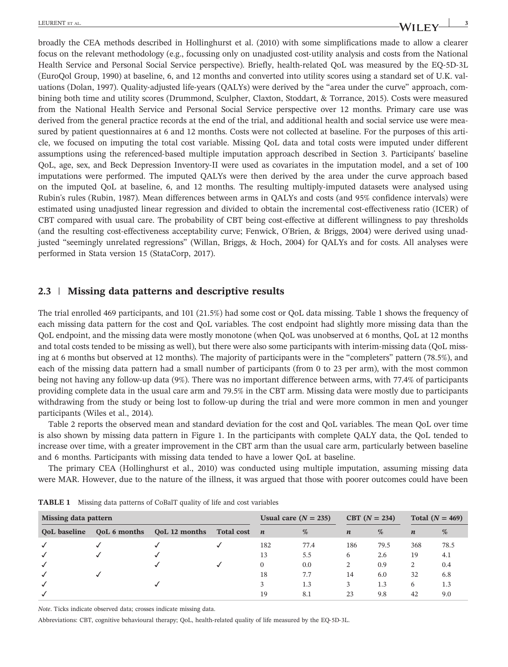broadly the CEA methods described in Hollinghurst et al. (2010) with some simplifications made to allow a clearer focus on the relevant methodology (e.g., focussing only on unadjusted cost-utility analysis and costs from the National Health Service and Personal Social Service perspective). Briefly, health-related QoL was measured by the EQ-5D-3L (EuroQol Group, 1990) at baseline, 6, and 12 months and converted into utility scores using a standard set of U.K. valuations (Dolan, 1997). Quality‐adjusted life‐years (QALYs) were derived by the "area under the curve" approach, combining both time and utility scores (Drummond, Sculpher, Claxton, Stoddart, & Torrance, 2015). Costs were measured from the National Health Service and Personal Social Service perspective over 12 months. Primary care use was derived from the general practice records at the end of the trial, and additional health and social service use were measured by patient questionnaires at 6 and 12 months. Costs were not collected at baseline. For the purposes of this article, we focused on imputing the total cost variable. Missing QoL data and total costs were imputed under different assumptions using the referenced‐based multiple imputation approach described in Section 3. Participants' baseline QoL, age, sex, and Beck Depression Inventory‐II were used as covariates in the imputation model, and a set of 100 imputations were performed. The imputed QALYs were then derived by the area under the curve approach based on the imputed QoL at baseline, 6, and 12 months. The resulting multiply‐imputed datasets were analysed using Rubin's rules (Rubin, 1987). Mean differences between arms in QALYs and costs (and 95% confidence intervals) were estimated using unadjusted linear regression and divided to obtain the incremental cost-effectiveness ratio (ICER) of CBT compared with usual care. The probability of CBT being cost-effective at different willingness to pay thresholds (and the resulting cost‐effectiveness acceptability curve; Fenwick, O'Brien, & Briggs, 2004) were derived using unadjusted "seemingly unrelated regressions" (Willan, Briggs, & Hoch, 2004) for QALYs and for costs. All analyses were performed in Stata version 15 (StataCorp, 2017).

#### **2.3** | **Missing data patterns and descriptive results**

The trial enrolled 469 participants, and 101 (21.5%) had some cost or QoL data missing. Table 1 shows the frequency of each missing data pattern for the cost and QoL variables. The cost endpoint had slightly more missing data than the QoL endpoint, and the missing data were mostly monotone (when QoL was unobserved at 6 months, QoL at 12 months and total costs tended to be missing as well), but there were also some participants with interim-missing data (QoL missing at 6 months but observed at 12 months). The majority of participants were in the "completers" pattern (78.5%), and each of the missing data pattern had a small number of participants (from 0 to 23 per arm), with the most common being not having any follow‐up data (9%). There was no important difference between arms, with 77.4% of participants providing complete data in the usual care arm and 79.5% in the CBT arm. Missing data were mostly due to participants withdrawing from the study or being lost to follow-up during the trial and were more common in men and younger participants (Wiles et al., 2014).

Table 2 reports the observed mean and standard deviation for the cost and QoL variables. The mean QoL over time is also shown by missing data pattern in Figure 1. In the participants with complete QALY data, the QoL tended to increase over time, with a greater improvement in the CBT arm than the usual care arm, particularly between baseline and 6 months. Participants with missing data tended to have a lower QoL at baseline.

The primary CEA (Hollinghurst et al., 2010) was conducted using multiple imputation, assuming missing data were MAR. However, due to the nature of the illness, it was argued that those with poorer outcomes could have been

| Missing data pattern |              |                      |                   | Usual care $(N = 235)$ |      | CBT $(N = 234)$  |      | Total $(N = 469)$ |      |
|----------------------|--------------|----------------------|-------------------|------------------------|------|------------------|------|-------------------|------|
| <b>OoL</b> baseline  | OoL 6 months | <b>QoL 12 months</b> | <b>Total cost</b> | $\boldsymbol{n}$       | %    | $\boldsymbol{n}$ | $\%$ | $\boldsymbol{n}$  | %    |
| √                    |              |                      |                   | 182                    | 77.4 | 186              | 79.5 | 368               | 78.5 |
| √                    |              |                      |                   | 13                     | 5.5  | 6                | 2.6  | 19                | 4.1  |
| √                    |              |                      |                   | $\Omega$               | 0.0  | 2                | 0.9  | 2                 | 0.4  |
| √                    |              |                      |                   | 18                     | 7.7  | 14               | 6.0  | 32                | 6.8  |
| √                    |              |                      |                   |                        | 1.3  | 3                | 1.3  | 6                 | 1.3  |
|                      |              |                      |                   | 19                     | 8.1  | 23               | 9.8  | 42                | 9.0  |

**TABLE 1** Missing data patterns of CoBalT quality of life and cost variables

*Note*. Ticks indicate observed data; crosses indicate missing data.

Abbreviations: CBT, cognitive behavioural therapy; QoL, health-related quality of life measured by the EQ-5D-3L.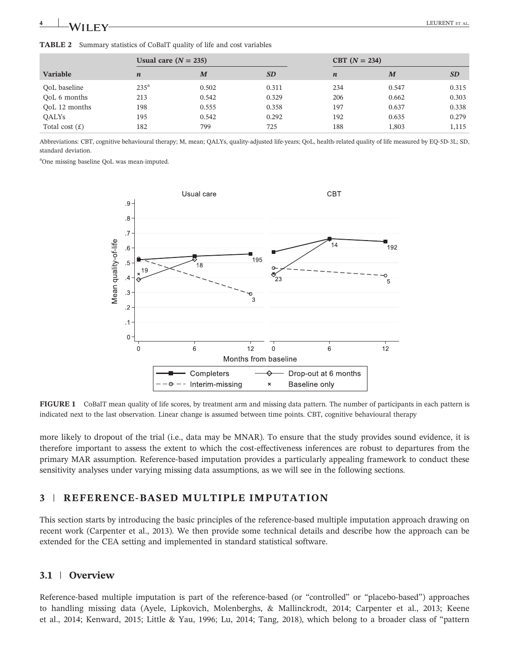

|                  | Usual care $(N = 235)$ |       | CBT $(N = 234)$ |                  |       |           |
|------------------|------------------------|-------|-----------------|------------------|-------|-----------|
| <b>Variable</b>  | $\boldsymbol{n}$       | M     | <b>SD</b>       | $\boldsymbol{n}$ | M     | <b>SD</b> |
| OoL baseline     | $235^{\rm a}$          | 0.502 | 0.311           | 234              | 0.547 | 0.315     |
| OoL 6 months     | 213                    | 0.542 | 0.329           | 206              | 0.662 | 0.303     |
| OoL 12 months    | 198                    | 0.555 | 0.358           | 197              | 0.637 | 0.338     |
| <b>OALYs</b>     | 195                    | 0.542 | 0.292           | 192              | 0.635 | 0.279     |
| Total cost $(f)$ | 182                    | 799   | 725             | 188              | 1,803 | 1,115     |

**TABLE 2** Summary statistics of CoBalT quality of life and cost variables

Abbreviations: CBT, cognitive behavioural therapy; M, mean; QALYs, quality-adjusted life-years; QoL, health-related quality of life measured by EQ-5D-3L; SD, standard deviation.

a One missing baseline QoL was mean‐imputed.



**FIGURE 1** CoBalT mean quality of life scores, by treatment arm and missing data pattern. The number of participants in each pattern is indicated next to the last observation. Linear change is assumed between time points. CBT, cognitive behavioural therapy

more likely to dropout of the trial (i.e., data may be MNAR). To ensure that the study provides sound evidence, it is therefore important to assess the extent to which the cost‐effectiveness inferences are robust to departures from the primary MAR assumption. Reference‐based imputation provides a particularly appealing framework to conduct these

# sensitivity analyses under varying missing data assumptions, as we will see in the following sections. **<sup>3</sup>** <sup>|</sup> **REFERENCE‐BASED MULTIPLE IMPUTATION**

This section starts by introducing the basic principles of the reference-based multiple imputation approach drawing on recent work (Carpenter et al., 2013). We then provide some technical details and describe how the approach can be extended for the CEA setting and implemented in standard statistical software.

## **3.1** | **Overview**

Reference‐based multiple imputation is part of the reference‐based (or "controlled" or "placebo‐based") approaches to handling missing data (Ayele, Lipkovich, Molenberghs, & Mallinckrodt, 2014; Carpenter et al., 2013; Keene et al., 2014; Kenward, 2015; Little & Yau, 1996; Lu, 2014; Tang, 2018), which belong to a broader class of "pattern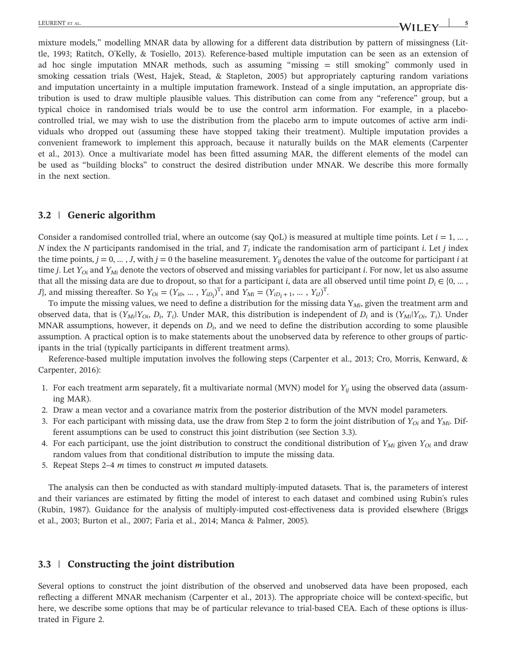## LEURENT ET AL. **1999 SECURENT ET AL. 5**

mixture models," modelling MNAR data by allowing for a different data distribution by pattern of missingness (Little, 1993; Ratitch, O'Kelly, & Tosiello, 2013). Reference‐based multiple imputation can be seen as an extension of ad hoc single imputation MNAR methods, such as assuming "missing = still smoking" commonly used in smoking cessation trials (West, Hajek, Stead, & Stapleton, 2005) but appropriately capturing random variations and imputation uncertainty in a multiple imputation framework. Instead of a single imputation, an appropriate distribution is used to draw multiple plausible values. This distribution can come from any "reference" group, but a typical choice in randomised trials would be to use the control arm information. For example, in a placebocontrolled trial, we may wish to use the distribution from the placebo arm to impute outcomes of active arm individuals who dropped out (assuming these have stopped taking their treatment). Multiple imputation provides a convenient framework to implement this approach, because it naturally builds on the MAR elements (Carpenter et al., 2013). Once a multivariate model has been fitted assuming MAR, the different elements of the model can be used as "building blocks" to construct the desired distribution under MNAR. We describe this more formally in the next section.

#### **3.2** | **Generic algorithm**

Consider a randomised controlled trial, where an outcome (say QoL) is measured at multiple time points. Let  $i = 1, \ldots$ , *N* index the *N* participants randomised in the trial, and *Ti* indicate the randomisation arm of participant *i*. Let *j* index the time points,  $j = 0, ..., J$ , with  $j = 0$  the baseline measurement.  $Y_{ij}$  denotes the value of the outcome for participant *i* at time *j*. Let  $Y_{0i}$  and  $Y_{Mi}$  denote the vectors of observed and missing variables for participant *i*. For now, let us also assume that all the missing data are due to dropout, so that for a participant *i*, data are all observed until time point  $D_i \in \{0, \dots,$ *J*}, and missing thereafter. So  $Y_{Oi} = (Y_{i0}, ..., Y_{iD_i})^T$ , and  $Y_{Mi} = (Y_{iD_i + 1}, ..., Y_{iJ})^T$ .

To impute the missing values, we need to define a distribution for the missing data Y*Mi*, given the treatment arm and observed data, that is  $(Y_{Mi}|Y_{Di}, D_i, T_i)$ . Under MAR, this distribution is independent of  $D_i$  and is  $(Y_{Mi}|Y_{Di}, T_i)$ . Under MNAR assumptions, however, it depends on *Di*, and we need to define the distribution according to some plausible assumption. A practical option is to make statements about the unobserved data by reference to other groups of participants in the trial (typically participants in different treatment arms).

Reference-based multiple imputation involves the following steps (Carpenter et al., 2013; Cro, Morris, Kenward, & Carpenter, 2016):

- 1. For each treatment arm separately, fit a multivariate normal (MVN) model for  $Y_{ij}$  using the observed data (assuming MAR).
- 2. Draw a mean vector and a covariance matrix from the posterior distribution of the MVN model parameters.
- 3. For each participant with missing data, use the draw from Step 2 to form the joint distribution of  $Y_{0i}$  and  $Y_{Mi}$ . Different assumptions can be used to construct this joint distribution (see Section 3.3).
- 4. For each participant, use the joint distribution to construct the conditional distribution of *YMi* given *YOi* and draw random values from that conditional distribution to impute the missing data.
- 5. Repeat Steps 2–4 *m* times to construct *m* imputed datasets.

The analysis can then be conducted as with standard multiply-imputed datasets. That is, the parameters of interest and their variances are estimated by fitting the model of interest to each dataset and combined using Rubin's rules (Rubin, 1987). Guidance for the analysis of multiply‐imputed cost‐effectiveness data is provided elsewhere (Briggs et al., 2003; Burton et al., 2007; Faria et al., 2014; Manca & Palmer, 2005).

#### **3.3** | **Constructing the joint distribution**

Several options to construct the joint distribution of the observed and unobserved data have been proposed, each reflecting a different MNAR mechanism (Carpenter et al., 2013). The appropriate choice will be context‐specific, but here, we describe some options that may be of particular relevance to trial-based CEA. Each of these options is illustrated in Figure 2.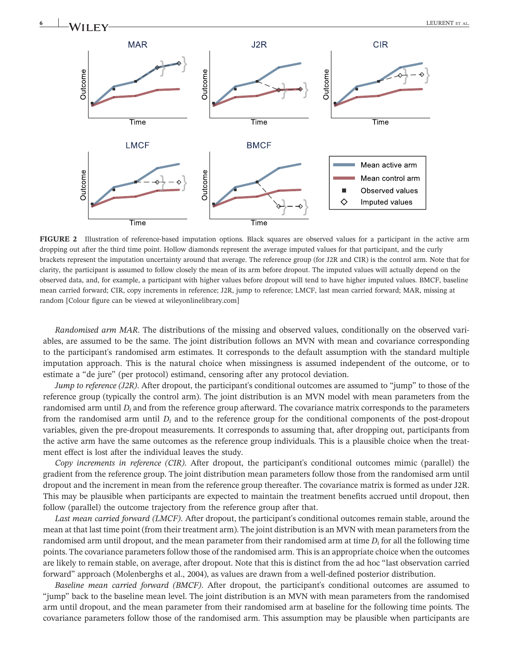

FIGURE 2 Illustration of reference-based imputation options. Black squares are observed values for a participant in the active arm dropping out after the third time point. Hollow diamonds represent the average imputed values for that participant, and the curly brackets represent the imputation uncertainty around that average. The reference group (for J2R and CIR) is the control arm. Note that for clarity, the participant is assumed to follow closely the mean of its arm before dropout. The imputed values will actually depend on the observed data, and, for example, a participant with higher values before dropout will tend to have higher imputed values. BMCF, baseline mean carried forward; CIR, copy increments in reference; J2R, jump to reference; LMCF, last mean carried forward; MAR, missing at random [Colour figure can be viewed at [wileyonlinelibrary.com\]](http://wileyonlinelibrary.com)

*Randomised arm MAR*. The distributions of the missing and observed values, conditionally on the observed variables, are assumed to be the same. The joint distribution follows an MVN with mean and covariance corresponding to the participant's randomised arm estimates. It corresponds to the default assumption with the standard multiple imputation approach. This is the natural choice when missingness is assumed independent of the outcome, or to estimate a "de jure" (per protocol) estimand, censoring after any protocol deviation.

*Jump to reference (J2R)*. After dropout, the participant's conditional outcomes are assumed to "jump" to those of the reference group (typically the control arm). The joint distribution is an MVN model with mean parameters from the randomised arm until *Di* and from the reference group afterward. The covariance matrix corresponds to the parameters from the randomised arm until  $D_i$  and to the reference group for the conditional components of the post-dropout variables, given the pre‐dropout measurements. It corresponds to assuming that, after dropping out, participants from the active arm have the same outcomes as the reference group individuals. This is a plausible choice when the treatment effect is lost after the individual leaves the study.

*Copy increments in reference (CIR)*. After dropout, the participant's conditional outcomes mimic (parallel) the gradient from the reference group. The joint distribution mean parameters follow those from the randomised arm until dropout and the increment in mean from the reference group thereafter. The covariance matrix is formed as under J2R. This may be plausible when participants are expected to maintain the treatment benefits accrued until dropout, then follow (parallel) the outcome trajectory from the reference group after that.

*Last mean carried forward (LMCF)*. After dropout, the participant's conditional outcomes remain stable, around the mean at that last time point (from their treatment arm). The joint distribution is an MVN with mean parameters from the randomised arm until dropout, and the mean parameter from their randomised arm at time *Di* for all the following time points. The covariance parameters follow those of the randomised arm. This is an appropriate choice when the outcomes are likely to remain stable, on average, after dropout. Note that this is distinct from the ad hoc "last observation carried forward" approach (Molenberghs et al., 2004), as values are drawn from a well‐defined posterior distribution.

*Baseline mean carried forward (BMCF)*. After dropout, the participant's conditional outcomes are assumed to "jump" back to the baseline mean level. The joint distribution is an MVN with mean parameters from the randomised arm until dropout, and the mean parameter from their randomised arm at baseline for the following time points. The covariance parameters follow those of the randomised arm. This assumption may be plausible when participants are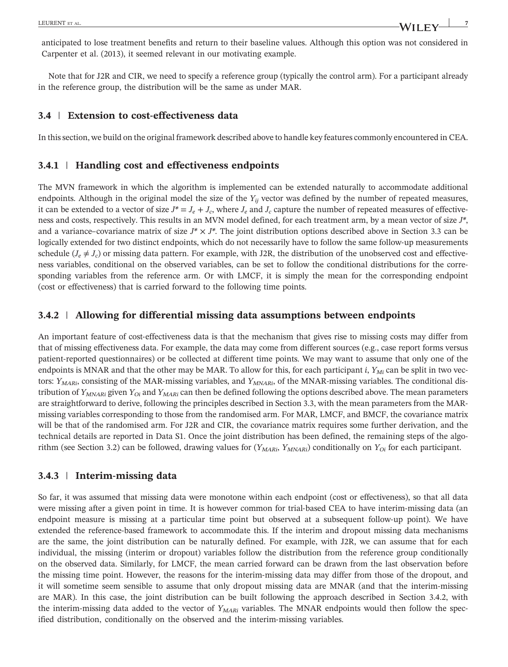anticipated to lose treatment benefits and return to their baseline values. Although this option was not considered in Carpenter et al. (2013), it seemed relevant in our motivating example.

Note that for J2R and CIR, we need to specify a reference group (typically the control arm). For a participant already in the reference group, the distribution will be the same as under MAR.

## **3.4** <sup>|</sup> **Extension to cost‐effectiveness data**

In this section, we build on the original framework described above to handle key features commonly encountered in CEA.

## **3.4.1** | **Handling cost and effectiveness endpoints**

The MVN framework in which the algorithm is implemented can be extended naturally to accommodate additional endpoints. Although in the original model the size of the *Yij* vector was defined by the number of repeated measures, it can be extended to a vector of size  $J^* = J_e + J_c$ , where  $J_e$  and  $J_c$  capture the number of repeated measures of effectiveness and costs, respectively. This results in an MVN model defined, for each treatment arm, by a mean vector of size *J\**, and a variance–covariance matrix of size *J\* × J\**. The joint distribution options described above in Section 3.3 can be logically extended for two distinct endpoints, which do not necessarily have to follow the same follow‐up measurements schedule  $(J_e \neq J_c)$  or missing data pattern. For example, with J2R, the distribution of the unobserved cost and effectiveness variables, conditional on the observed variables, can be set to follow the conditional distributions for the corresponding variables from the reference arm. Or with LMCF, it is simply the mean for the corresponding endpoint (cost or effectiveness) that is carried forward to the following time points.

## **3.4.2** | **Allowing for differential missing data assumptions between endpoints**

An important feature of cost-effectiveness data is that the mechanism that gives rise to missing costs may differ from that of missing effectiveness data. For example, the data may come from different sources (e.g., case report forms versus patient-reported questionnaires) or be collected at different time points. We may want to assume that only one of the endpoints is MNAR and that the other may be MAR. To allow for this, for each participant  $i$ ,  $Y_{Mi}$  can be split in two vectors: *Y<sub>MARi</sub>*, consisting of the MAR-missing variables, and *Y<sub>MNARi</sub>*, of the MNAR-missing variables. The conditional distribution of *YMNARi* given *YOi* and *YMARi* can then be defined following the options described above. The mean parameters are straightforward to derive, following the principles described in Section 3.3, with the mean parameters from the MAR‐ missing variables corresponding to those from the randomised arm. For MAR, LMCF, and BMCF, the covariance matrix will be that of the randomised arm. For J2R and CIR, the covariance matrix requires some further derivation, and the technical details are reported in Data S1. Once the joint distribution has been defined, the remaining steps of the algorithm (see Section 3.2) can be followed, drawing values for  $(Y_{MARI}$ ,  $Y_{MNARI}$ ) conditionally on  $Y_{Qi}$  for each participant.

## **3.4.3** <sup>|</sup> **Interim‐missing data**

So far, it was assumed that missing data were monotone within each endpoint (cost or effectiveness), so that all data were missing after a given point in time. It is however common for trial-based CEA to have interim-missing data (an endpoint measure is missing at a particular time point but observed at a subsequent follow‐up point). We have extended the reference-based framework to accommodate this. If the interim and dropout missing data mechanisms are the same, the joint distribution can be naturally defined. For example, with J2R, we can assume that for each individual, the missing (interim or dropout) variables follow the distribution from the reference group conditionally on the observed data. Similarly, for LMCF, the mean carried forward can be drawn from the last observation before the missing time point. However, the reasons for the interim‐missing data may differ from those of the dropout, and it will sometime seem sensible to assume that only dropout missing data are MNAR (and that the interim‐missing are MAR). In this case, the joint distribution can be built following the approach described in Section 3.4.2, with the interim-missing data added to the vector of *Y<sub>MARi</sub>* variables. The MNAR endpoints would then follow the specified distribution, conditionally on the observed and the interim‐missing variables.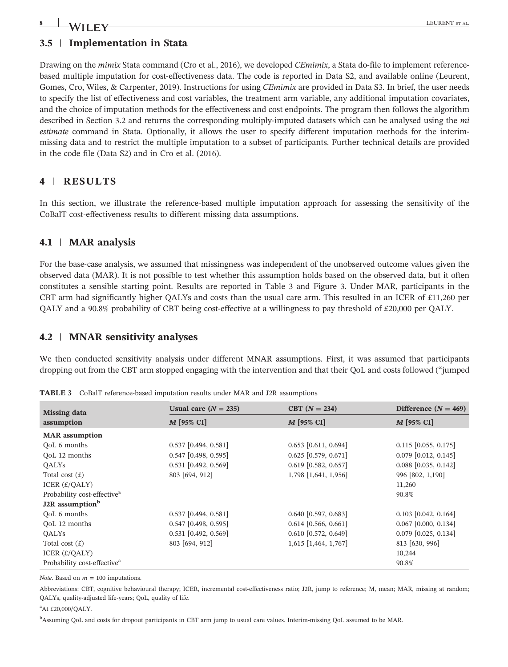# **3.5** | **Implementation in Stata**

Drawing on the *mimix* Stata command (Cro et al., 2016), we developed *CEmimix*, a Stata do-file to implement referencebased multiple imputation for cost‐effectiveness data. The code is reported in Data S2, and available online (Leurent, Gomes, Cro, Wiles, & Carpenter, 2019). Instructions for using *CEmimix* are provided in Data S3. In brief, the user needs to specify the list of effectiveness and cost variables, the treatment arm variable, any additional imputation covariates, and the choice of imputation methods for the effectiveness and cost endpoints. The program then follows the algorithm described in Section 3.2 and returns the corresponding multiply‐imputed datasets which can be analysed using the *mi estimate* command in Stata. Optionally, it allows the user to specify different imputation methods for the interimmissing data and to restrict the multiple imputation to a subset of participants. Further technical details are provided in the code file (Data S2) and in Cro et al. (2016).

## **4** | **RESULTS**

In this section, we illustrate the reference-based multiple imputation approach for assessing the sensitivity of the CoBalT cost‐effectiveness results to different missing data assumptions.

## **4.1** | **MAR analysis**

For the base-case analysis, we assumed that missingness was independent of the unobserved outcome values given the observed data (MAR). It is not possible to test whether this assumption holds based on the observed data, but it often constitutes a sensible starting point. Results are reported in Table 3 and Figure 3. Under MAR, participants in the CBT arm had significantly higher QALYs and costs than the usual care arm. This resulted in an ICER of £11,260 per QALY and a 90.8% probability of CBT being cost-effective at a willingness to pay threshold of £20,000 per QALY.

## **4.2** | **MNAR sensitivity analyses**

We then conducted sensitivity analysis under different MNAR assumptions. First, it was assumed that participants dropping out from the CBT arm stopped engaging with the intervention and that their QoL and costs followed ("jumped

| <b>Missing data</b>                     | Usual care $(N = 235)$ | $CBT (N = 234)$        | Difference $(N = 469)$ |  |
|-----------------------------------------|------------------------|------------------------|------------------------|--|
| assumption                              | M [95% CI]             | $M$ [95% CI]           | $M$ [95% CI]           |  |
| <b>MAR</b> assumption                   |                        |                        |                        |  |
| QoL 6 months                            | $0.537$ [0.494, 0.581] | $0.653$ [0.611, 0.694] | $0.115$ [0.055, 0.175] |  |
| QoL 12 months                           | 0.547 [0.498, 0.595]   | $0.625$ [0.579, 0.671] | $0.079$ [0.012, 0.145] |  |
| <b>OALYs</b>                            | $0.531$ [0.492, 0.569] | $0.619$ [0.582, 0.657] | $0.088$ [0.035, 0.142] |  |
| Total cost $(f)$                        | 803 [694, 912]         | 1,798 [1,641, 1,956]   | 996 [802, 1,190]       |  |
| ICER $(f/OALY)$                         |                        |                        | 11,260                 |  |
| Probability cost-effective <sup>a</sup> |                        |                        | 90.8%                  |  |
| J2R assumption <sup>b</sup>             |                        |                        |                        |  |
| OoL 6 months                            | $0.537$ [0.494, 0.581] | $0.640$ [0.597, 0.683] | $0.103$ [0.042, 0.164] |  |
| QoL 12 months                           | $0.547$ [0.498, 0.595] | $0.614$ [0.566, 0.661] | $0.067$ [0.000, 0.134] |  |
| <b>OALYs</b>                            | $0.531$ [0.492, 0.569] | $0.610$ [0.572, 0.649] | $0.079$ [0.025, 0.134] |  |
| Total cost $(f)$                        | 803 [694, 912]         | 1,615 [1,464, 1,767]   | 813 [630, 996]         |  |
| ICER $(f/QALY)$                         |                        |                        | 10,244                 |  |
| Probability cost-effective <sup>a</sup> |                        |                        | 90.8%                  |  |

**TABLE 3** CoBalT reference‐based imputation results under MAR and J2R assumptions

*Note*. Based on  $m = 100$  imputations.

Abbreviations: CBT, cognitive behavioural therapy; ICER, incremental cost-effectiveness ratio; J2R, jump to reference; M, mean; MAR, missing at random; QALYs, quality‐adjusted life‐years; QoL, quality of life.

<sup>a</sup>At £20,000/QALY.

b Assuming QoL and costs for dropout participants in CBT arm jump to usual care values. Interim‐missing QoL assumed to be MAR.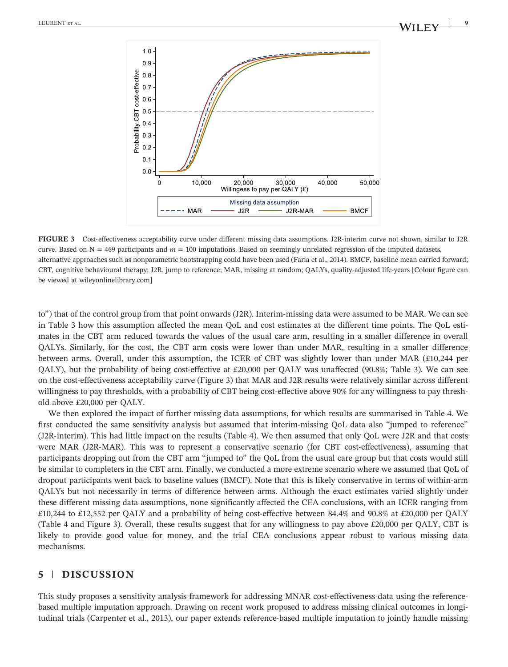

FIGURE 3 Cost-effectiveness acceptability curve under different missing data assumptions. J2R-interim curve not shown, similar to J2R curve. Based on  $N = 469$  participants and  $m = 100$  imputations. Based on seemingly unrelated regression of the imputed datasets, alternative approaches such as nonparametric bootstrapping could have been used (Faria et al., 2014). BMCF, baseline mean carried forward; CBT, cognitive behavioural therapy; J2R, jump to reference; MAR, missing at random; QALYs, quality-adjusted life-years [Colour figure can be viewed at [wileyonlinelibrary.com\]](http://wileyonlinelibrary.com)

to") that of the control group from that point onwards (J2R). Interim-missing data were assumed to be MAR. We can see in Table 3 how this assumption affected the mean QoL and cost estimates at the different time points. The QoL estimates in the CBT arm reduced towards the values of the usual care arm, resulting in a smaller difference in overall QALYs. Similarly, for the cost, the CBT arm costs were lower than under MAR, resulting in a smaller difference between arms. Overall, under this assumption, the ICER of CBT was slightly lower than under MAR (£10,244 per QALY), but the probability of being cost-effective at £20,000 per QALY was unaffected (90.8%; Table 3). We can see on the cost‐effectiveness acceptability curve (Figure 3) that MAR and J2R results were relatively similar across different willingness to pay thresholds, with a probability of CBT being cost-effective above 90% for any willingness to pay threshold above £20,000 per QALY.

We then explored the impact of further missing data assumptions, for which results are summarised in Table 4. We first conducted the same sensitivity analysis but assumed that interim-missing QoL data also "jumped to reference" (J2R‐interim). This had little impact on the results (Table 4). We then assumed that only QoL were J2R and that costs were MAR (J2R-MAR). This was to represent a conservative scenario (for CBT cost-effectiveness), assuming that participants dropping out from the CBT arm "jumped to" the QoL from the usual care group but that costs would still be similar to completers in the CBT arm. Finally, we conducted a more extreme scenario where we assumed that QoL of dropout participants went back to baseline values (BMCF). Note that this is likely conservative in terms of within‐arm QALYs but not necessarily in terms of difference between arms. Although the exact estimates varied slightly under these different missing data assumptions, none significantly affected the CEA conclusions, with an ICER ranging from £10,244 to £12,552 per QALY and a probability of being cost-effective between 84.4% and 90.8% at £20,000 per QALY (Table 4 and Figure 3). Overall, these results suggest that for any willingness to pay above £20,000 per QALY, CBT is likely to provide good value for money, and the trial CEA conclusions appear robust to various missing data mechanisms.

## **5** | **DISCUSSION**

This study proposes a sensitivity analysis framework for addressing MNAR cost-effectiveness data using the referencebased multiple imputation approach. Drawing on recent work proposed to address missing clinical outcomes in longitudinal trials (Carpenter et al., 2013), our paper extends reference-based multiple imputation to jointly handle missing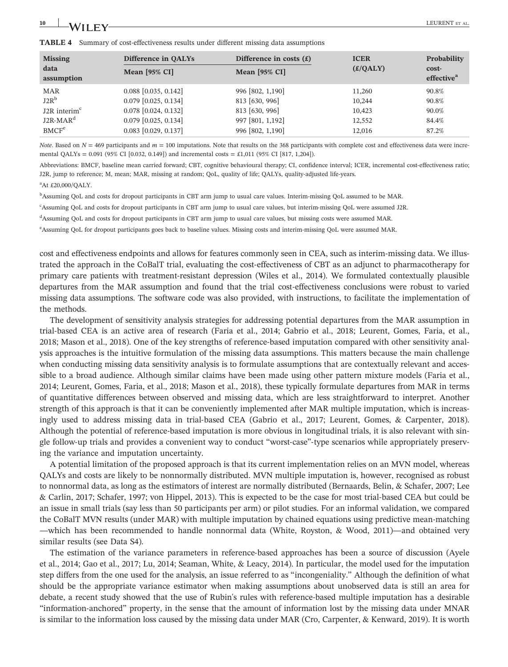| <b>Missing</b><br>data<br>assumption | Difference in QALYs<br><b>Mean</b> [95% CI] | Difference in costs $(f)$<br><b>Mean</b> [95% CI] | <b>ICER</b><br>(f/QALY) | Probability<br>cost-<br>effective <sup>a</sup> |
|--------------------------------------|---------------------------------------------|---------------------------------------------------|-------------------------|------------------------------------------------|
| <b>MAR</b>                           | $0.088$ [0.035, 0.142]                      | 996 [802, 1,190]                                  | 11,260                  | 90.8%                                          |
| $J2R^b$                              | $0.079$ [0.025, 0.134]                      | 813 [630, 996]                                    | 10,244                  | 90.8%                                          |
| $J2R$ interim <sup>c</sup>           | $0.078$ [0.024, 0.132]                      | 813 [630, 996]                                    | 10,423                  | 90.0%                                          |
| $J2R-MARd$                           | $0.079$ [0.025, 0.134]                      | 997 [801, 1,192]                                  | 12,552                  | 84.4%                                          |
| BMCF <sup>e</sup>                    | $0.083$ [0.029, 0.137]                      | 996 [802, 1,190]                                  | 12,016                  | 87.2%                                          |

**TABLE 4** Summary of cost-effectiveness results under different missing data assumptions

*Note*. Based on  $N = 469$  participants and  $m = 100$  imputations. Note that results on the 368 participants with complete cost and effectiveness data were incremental QALYs = 0.091 (95% CI [0.032, 0.149]) and incremental costs = £1,011 (95% CI [817, 1,204]).

Abbreviations: BMCF, baseline mean carried forward; CBT, cognitive behavioural therapy; CI, confidence interval; ICER, incremental cost‐effectiveness ratio; J2R, jump to reference; M, mean; MAR, missing at random; QoL, quality of life; QALYs, quality-adjusted life-years.

<sup>a</sup>At £20,000/QALY.

b Assuming QoL and costs for dropout participants in CBT arm jump to usual care values. Interim‐missing QoL assumed to be MAR.

c Assuming QoL and costs for dropout participants in CBT arm jump to usual care values, but interim‐missing QoL were assumed J2R.

d Assuming QoL and costs for dropout participants in CBT arm jump to usual care values, but missing costs were assumed MAR.

e Assuming QoL for dropout participants goes back to baseline values. Missing costs and interim‐missing QoL were assumed MAR.

cost and effectiveness endpoints and allows for features commonly seen in CEA, such as interim‐missing data. We illustrated the approach in the CoBalT trial, evaluating the cost‐effectiveness of CBT as an adjunct to pharmacotherapy for primary care patients with treatment‐resistant depression (Wiles et al., 2014). We formulated contextually plausible departures from the MAR assumption and found that the trial cost-effectiveness conclusions were robust to varied missing data assumptions. The software code was also provided, with instructions, to facilitate the implementation of the methods.

The development of sensitivity analysis strategies for addressing potential departures from the MAR assumption in trial‐based CEA is an active area of research (Faria et al., 2014; Gabrio et al., 2018; Leurent, Gomes, Faria, et al., 2018; Mason et al., 2018). One of the key strengths of reference‐based imputation compared with other sensitivity analysis approaches is the intuitive formulation of the missing data assumptions. This matters because the main challenge when conducting missing data sensitivity analysis is to formulate assumptions that are contextually relevant and accessible to a broad audience. Although similar claims have been made using other pattern mixture models (Faria et al., 2014; Leurent, Gomes, Faria, et al., 2018; Mason et al., 2018), these typically formulate departures from MAR in terms of quantitative differences between observed and missing data, which are less straightforward to interpret. Another strength of this approach is that it can be conveniently implemented after MAR multiple imputation, which is increasingly used to address missing data in trial‐based CEA (Gabrio et al., 2017; Leurent, Gomes, & Carpenter, 2018). Although the potential of reference-based imputation is more obvious in longitudinal trials, it is also relevant with single follow‐up trials and provides a convenient way to conduct "worst‐case"‐type scenarios while appropriately preserving the variance and imputation uncertainty.

A potential limitation of the proposed approach is that its current implementation relies on an MVN model, whereas QALYs and costs are likely to be nonnormally distributed. MVN multiple imputation is, however, recognised as robust to nonnormal data, as long as the estimators of interest are normally distributed (Bernaards, Belin, & Schafer, 2007; Lee & Carlin, 2017; Schafer, 1997; von Hippel, 2013). This is expected to be the case for most trial‐based CEA but could be an issue in small trials (say less than 50 participants per arm) or pilot studies. For an informal validation, we compared the CoBalT MVN results (under MAR) with multiple imputation by chained equations using predictive mean‐matching —which has been recommended to handle nonnormal data (White, Royston, & Wood, 2011)—and obtained very similar results (see Data S4).

The estimation of the variance parameters in reference‐based approaches has been a source of discussion (Ayele et al., 2014; Gao et al., 2017; Lu, 2014; Seaman, White, & Leacy, 2014). In particular, the model used for the imputation step differs from the one used for the analysis, an issue referred to as "incongeniality." Although the definition of what should be the appropriate variance estimator when making assumptions about unobserved data is still an area for debate, a recent study showed that the use of Rubin's rules with reference‐based multiple imputation has a desirable "information‐anchored" property, in the sense that the amount of information lost by the missing data under MNAR is similar to the information loss caused by the missing data under MAR (Cro, Carpenter, & Kenward, 2019). It is worth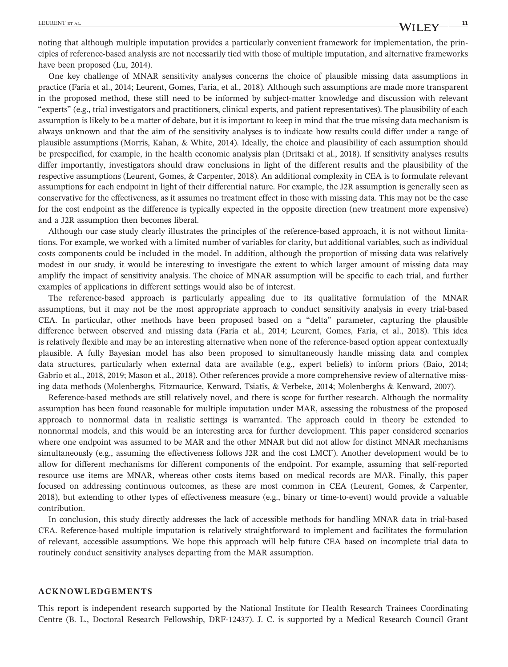noting that although multiple imputation provides a particularly convenient framework for implementation, the principles of reference‐based analysis are not necessarily tied with those of multiple imputation, and alternative frameworks have been proposed (Lu, 2014).

One key challenge of MNAR sensitivity analyses concerns the choice of plausible missing data assumptions in practice (Faria et al., 2014; Leurent, Gomes, Faria, et al., 2018). Although such assumptions are made more transparent in the proposed method, these still need to be informed by subject-matter knowledge and discussion with relevant "experts" (e.g., trial investigators and practitioners, clinical experts, and patient representatives). The plausibility of each assumption is likely to be a matter of debate, but it is important to keep in mind that the true missing data mechanism is always unknown and that the aim of the sensitivity analyses is to indicate how results could differ under a range of plausible assumptions (Morris, Kahan, & White, 2014). Ideally, the choice and plausibility of each assumption should be prespecified, for example, in the health economic analysis plan (Dritsaki et al., 2018). If sensitivity analyses results differ importantly, investigators should draw conclusions in light of the different results and the plausibility of the respective assumptions (Leurent, Gomes, & Carpenter, 2018). An additional complexity in CEA is to formulate relevant assumptions for each endpoint in light of their differential nature. For example, the J2R assumption is generally seen as conservative for the effectiveness, as it assumes no treatment effect in those with missing data. This may not be the case for the cost endpoint as the difference is typically expected in the opposite direction (new treatment more expensive) and a J2R assumption then becomes liberal.

Although our case study clearly illustrates the principles of the reference‐based approach, it is not without limitations. For example, we worked with a limited number of variables for clarity, but additional variables, such as individual costs components could be included in the model. In addition, although the proportion of missing data was relatively modest in our study, it would be interesting to investigate the extent to which larger amount of missing data may amplify the impact of sensitivity analysis. The choice of MNAR assumption will be specific to each trial, and further examples of applications in different settings would also be of interest.

The reference-based approach is particularly appealing due to its qualitative formulation of the MNAR assumptions, but it may not be the most appropriate approach to conduct sensitivity analysis in every trial‐based CEA. In particular, other methods have been proposed based on a "delta" parameter, capturing the plausible difference between observed and missing data (Faria et al., 2014; Leurent, Gomes, Faria, et al., 2018). This idea is relatively flexible and may be an interesting alternative when none of the reference-based option appear contextually plausible. A fully Bayesian model has also been proposed to simultaneously handle missing data and complex data structures, particularly when external data are available (e.g., expert beliefs) to inform priors (Baio, 2014; Gabrio et al., 2018, 2019; Mason et al., 2018). Other references provide a more comprehensive review of alternative missing data methods (Molenberghs, Fitzmaurice, Kenward, Tsiatis, & Verbeke, 2014; Molenberghs & Kenward, 2007).

Reference-based methods are still relatively novel, and there is scope for further research. Although the normality assumption has been found reasonable for multiple imputation under MAR, assessing the robustness of the proposed approach to nonnormal data in realistic settings is warranted. The approach could in theory be extended to nonnormal models, and this would be an interesting area for further development. This paper considered scenarios where one endpoint was assumed to be MAR and the other MNAR but did not allow for distinct MNAR mechanisms simultaneously (e.g., assuming the effectiveness follows J2R and the cost LMCF). Another development would be to allow for different mechanisms for different components of the endpoint. For example, assuming that self‐reported resource use items are MNAR, whereas other costs items based on medical records are MAR. Finally, this paper focused on addressing continuous outcomes, as these are most common in CEA (Leurent, Gomes, & Carpenter, 2018), but extending to other types of effectiveness measure (e.g., binary or time‐to‐event) would provide a valuable contribution.

In conclusion, this study directly addresses the lack of accessible methods for handling MNAR data in trial‐based CEA. Reference‐based multiple imputation is relatively straightforward to implement and facilitates the formulation of relevant, accessible assumptions. We hope this approach will help future CEA based on incomplete trial data to routinely conduct sensitivity analyses departing from the MAR assumption.

#### **ACKNOWLEDGEMENTS**

This report is independent research supported by the National Institute for Health Research Trainees Coordinating Centre (B. L., Doctoral Research Fellowship, DRF‐12437). J. C. is supported by a Medical Research Council Grant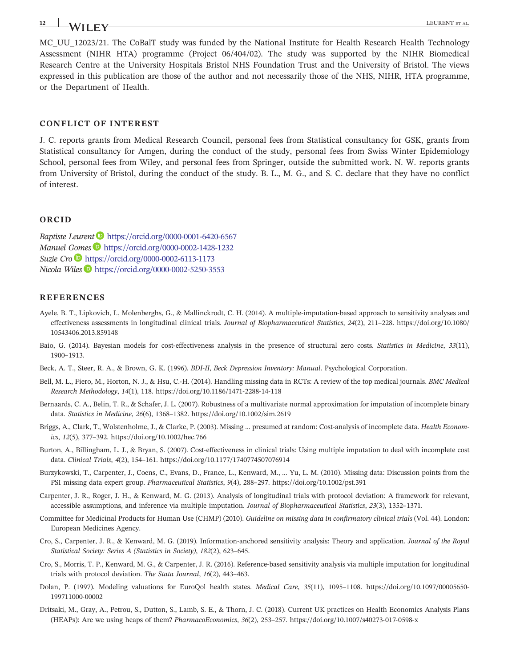## **12** LEURENT ET AL.

MC\_UU\_12023/21. The CoBalT study was funded by the National Institute for Health Research Health Technology Assessment (NIHR HTA) programme (Project 06/404/02). The study was supported by the NIHR Biomedical Research Centre at the University Hospitals Bristol NHS Foundation Trust and the University of Bristol. The views expressed in this publication are those of the author and not necessarily those of the NHS, NIHR, HTA programme, or the Department of Health.

#### **CONFLICT OF INTEREST**

J. C. reports grants from Medical Research Council, personal fees from Statistical consultancy for GSK, grants from Statistical consultancy for Amgen, during the conduct of the study, personal fees from Swiss Winter Epidemiology School, personal fees from Wiley, and personal fees from Springer, outside the submitted work. N. W. reports grants from University of Bristol, during the conduct of the study. B. L., M. G., and S. C. declare that they have no conflict of interest.

#### **ORCID**

*Baptiste Leurent* **b** <https://orcid.org/0000-0001-6420-6567> *Manuel Gomes* **b** <https://orcid.org/0000-0002-1428-1232> *Suzie Cro* <https://orcid.org/0000-0002-6113-1173> *Nicola Wiles* **b** <https://orcid.org/0000-0002-5250-3553>

#### **REFERENCES**

- Ayele, B. T., Lipkovich, I., Molenberghs, G., & Mallinckrodt, C. H. (2014). A multiple-imputation-based approach to sensitivity analyses and effectiveness assessments in longitudinal clinical trials. *Journal of Biopharmaceutical Statistics*, *24*(2), 211–228. [https://doi.org/10.1080/](https://doi.org/10.1080/10543406.2013.859148) [10543406.2013.859148](https://doi.org/10.1080/10543406.2013.859148)
- Baio, G. (2014). Bayesian models for cost-effectiveness analysis in the presence of structural zero costs. *Statistics in Medicine*, 33(11), 1900–1913.<br>1900–1913.<br>Beck, A. T., Steer, R. A., & Brown, G. K. (1996). *BDI-II,* 1900–1913.
- 
- Bell, M. L., Fiero, M., Horton, N. J., & Hsu, C.‐H. (2014). Handling missing data in RCTs: A review of the top medical journals. *BMC Medical Research Methodology*, *14*(1), 118. [https://doi.org/10.1186/1471](https://doi.org/10.1186/1471-2288-14-118)‐2288‐14‐118
- Bernaards, C. A., Belin, T. R., & Schafer, J. L. (2007). Robustness of a multivariate normal approximation for imputation of incomplete binary data. *Statistics in Medicine*, *26*(6), 1368–1382.<https://doi.org/10.1002/sim.2619>
- Briggs, A., Clark, T., Wolstenholme, J., & Clarke, P. (2003). Missing ... presumed at random: Cost-analysis of incomplete data. *Health Economics*, *12*(5), 377–392.<https://doi.org/10.1002/hec.766>
- Burton, A., Billingham, L. J., & Bryan, S. (2007). Cost-effectiveness in clinical trials: Using multiple imputation to deal with incomplete cost data. *Clinical Trials*, *4*(2), 154–161.<https://doi.org/10.1177/1740774507076914>
- Burzykowski, T., Carpenter, J., Coens, C., Evans, D., France, L., Kenward, M., … Yu, L. M. (2010). Missing data: Discussion points from the PSI missing data expert group. *Pharmaceutical Statistics*, *9*(4), 288–297.<https://doi.org/10.1002/pst.391>
- Carpenter, J. R., Roger, J. H., & Kenward, M. G. (2013). Analysis of longitudinal trials with protocol deviation: A framework for relevant, accessible assumptions, and inference via multiple imputation. *Journal of Biopharmaceutical Statistics*, *23*(3), 1352–1371.
- Committee for Medicinal Products for Human Use (CHMP) (2010). *Guideline on missing data in confirmatory clinical trials* (Vol. 44). London: European Medicines Agency.
- Cro, S., Carpenter, J. R., & Kenward, M. G. (2019). Information‐anchored sensitivity analysis: Theory and application. *Journal of the Royal Statistical Society: Series A (Statistics in Society)*, *182*(2), 623–645.
- Cro, S., Morris, T. P., Kenward, M. G., & Carpenter, J. R. (2016). Reference‐based sensitivity analysis via multiple imputation for longitudinal trials with protocol deviation. *The Stata Journal*, *16*(2), 443–463.
- Dolan, P. (1997). Modeling valuations for EuroQol health states. *Medical Care*, *35*(11), 1095–1108. [https://doi.org/10.1097/00005650](https://doi.org/10.1097/00005650-199711000-00002)‐ [199711000](https://doi.org/10.1097/00005650-199711000-00002)‐00002
- Dritsaki, M., Gray, A., Petrou, S., Dutton, S., Lamb, S. E., & Thorn, J. C. (2018). Current UK practices on Health Economics Analysis Plans (HEAPs): Are we using heaps of them? *PharmacoEconomics*, *36*(2), 253–257. [https://doi.org/10.1007/s40273](https://doi.org/10.1007/s40273-017-0598-x)‐017‐0598‐x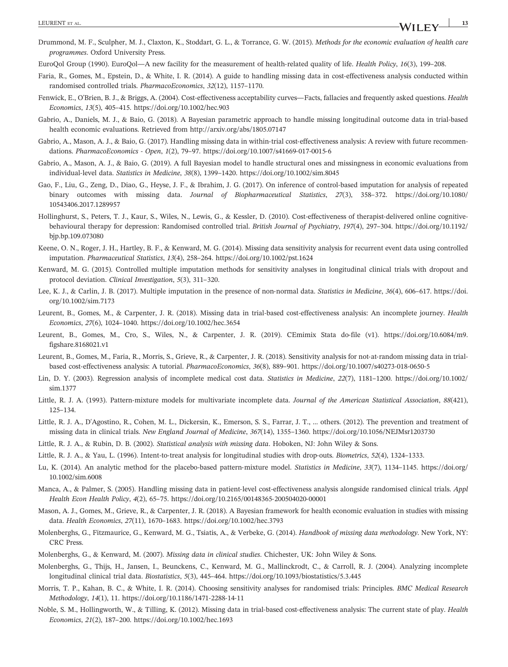EuroQol Group (1990). EuroQol—A new facility for the measurement of health‐related quality of life. *Health Policy*, *16*(3), 199–208.

- Faria, R., Gomes, M., Epstein, D., & White, I. R. (2014). A guide to handling missing data in cost-effectiveness analysis conducted within randomised controlled trials. *PharmacoEconomics*, *32*(12), 1157–1170.
- Fenwick, E., O'Brien, B. J., & Briggs, A. (2004). Cost‐effectiveness acceptability curves—Facts, fallacies and frequently asked questions. *Health Economics*, *13*(5), 405–415.<https://doi.org/10.1002/hec.903>
- Gabrio, A., Daniels, M. J., & Baio, G. (2018). A Bayesian parametric approach to handle missing longitudinal outcome data in trial‐based health economic evaluations. Retrieved from<http://arxiv.org/abs/1805.07147>
- Gabrio, A., Mason, A. J., & Baio, G. (2017). Handling missing data in within-trial cost-effectiveness analysis: A review with future recommenhealth economic evaluations. Retrieved from http://arxiv.org/abs/1805.07147<br>prio, A., Mason, A. J., & Baio, G. (2017). Handling missing data in within-trial cost-effectivene<br>dations. *PharmacoEconomics* - Open, 1(2), 79–97
- Gabrio, A., Mason, A. J., & Baio, G. (2019). A full Bayesian model to handle structural ones and missingness in economic evaluations from individual‐level data. *Statistics in Medicine*, *38*(8), 1399–1420.<https://doi.org/10.1002/sim.8045>
- Gao, F., Liu, G., Zeng, D., Diao, G., Heyse, J. F., & Ibrahim, J. G. (2017). On inference of control-based imputation for analysis of repeated binary outcomes with missing data. *Journal of Biopharmaceutical Statistics*, *27*(3), 358–372. [https://doi.org/10.1080/](https://doi.org/10.1080/10543406.2017.1289957) [10543406.2017.1289957](https://doi.org/10.1080/10543406.2017.1289957)
- Hollinghurst, S., Peters, T. J., Kaur, S., Wiles, N., Lewis, G., & Kessler, D. (2010). Cost-effectiveness of therapist-delivered online cognitivebehavioural therapy for depression: Randomised controlled trial. *British Journal of Psychiatry*, *197*(4), 297–304. [https://doi.org/10.1192/](https://doi.org/10.1192/bjp.bp.109.073080) [bjp.bp.109.073080](https://doi.org/10.1192/bjp.bp.109.073080)
- Keene, O. N., Roger, J. H., Hartley, B. F., & Kenward, M. G. (2014). Missing data sensitivity analysis for recurrent event data using controlled imputation. *Pharmaceutical Statistics*, *13*(4), 258–264.<https://doi.org/10.1002/pst.1624>
- Kenward, M. G. (2015). Controlled multiple imputation methods for sensitivity analyses in longitudinal clinical trials with dropout and protocol deviation. *Clinical Investigation*, *5*(3), 311–320.
- Lee, K. J., & Carlin, J. B. (2017). Multiple imputation in the presence of non-normal data. *Statistics in Medicine*, 36(4), 606–617. [https://doi.](https://doi.org/10.1002/sim.7173) [org/10.1002/sim.7173](https://doi.org/10.1002/sim.7173)
- Leurent, B., Gomes, M., & Carpenter, J. R. (2018). Missing data in trial‐based cost‐effectiveness analysis: An incomplete journey. *Health Economics*, *27*(6), 1024–1040.<https://doi.org/10.1002/hec.3654>
- Leurent, B., Gomes, M., Cro, S., Wiles, N., & Carpenter, J. R. (2019). CEmimix Stata do‐file (v1). [https://doi.org/10.6084/m9.](https://doi.org/10.6084/m9.figshare.8168021.v1) [figshare.8168021.v1](https://doi.org/10.6084/m9.figshare.8168021.v1)
- Leurent, B., Gomes, M., Faria, R., Morris, S., Grieve, R., & Carpenter, J. R. (2018). Sensitivity analysis for not-at-random missing data in trialbased cost‐effectiveness analysis: A tutorial. *PharmacoEconomics*, *36*(8), 889–901. [https://doi.org/10.1007/s40273](https://doi.org/10.1007/s40273-018-0650-5)‐018‐0650‐5
- Lin, D. Y. (2003). Regression analysis of incomplete medical cost data. *Statistics in Medicine*, *22*(7), 1181–1200. [https://doi.org/10.1002/](https://doi.org/10.1002/sim.1377) [sim.1377](https://doi.org/10.1002/sim.1377)
- Little, R. J. A. (1993). Pattern‐mixture models for multivariate incomplete data. *Journal of the American Statistical Association*, *88*(421), 125–134.
- Little, R. J. A., D'Agostino, R., Cohen, M. L., Dickersin, K., Emerson, S. S., Farrar, J. T., … others. (2012). The prevention and treatment of missing data in clinical trials. *New England Journal of Medicine*, *367*(14), 1355–1360.<https://doi.org/10.1056/NEJMsr1203730>
- Little, R. J. A., & Rubin, D. B. (2002). *Statistical analysis with missing data*. Hoboken, NJ: John Wiley & Sons.
- Little, R. J. A., & Yau, L. (1996). Intent‐to‐treat analysis for longitudinal studies with drop‐outs. *Biometrics*, *52*(4), 1324–1333.
- Lu, K. (2014). An analytic method for the placebo‐based pattern‐mixture model. *Statistics in Medicine*, *33*(7), 1134–1145. [https://doi.org/](https://doi.org/10.1002/sim.6008) [10.1002/sim.6008](https://doi.org/10.1002/sim.6008)
- Manca, A., & Palmer, S. (2005). Handling missing data in patient‐level cost‐effectiveness analysis alongside randomised clinical trials. *Appl Health Econ Health Policy*, *4*(2), 65–75. [https://doi.org/10.2165/00148365](https://doi.org/10.2165/00148365-200504020-00001)‐200504020‐00001
- Mason, A. J., Gomes, M., Grieve, R., & Carpenter, J. R. (2018). A Bayesian framework for health economic evaluation in studies with missing data. *Health Economics*, *27*(11), 1670–1683.<https://doi.org/10.1002/hec.3793>
- Molenberghs, G., Fitzmaurice, G., Kenward, M. G., Tsiatis, A., & Verbeke, G. (2014). *Handbook of missing data methodology*. New York, NY: CRC Press.
- Molenberghs, G., & Kenward, M. (2007). *Missing data in clinical studies*. Chichester, UK: John Wiley & Sons.
- Molenberghs, G., Thijs, H., Jansen, I., Beunckens, C., Kenward, M. G., Mallinckrodt, C., & Carroll, R. J. (2004). Analyzing incomplete longitudinal clinical trial data. *Biostatistics*, *5*(3), 445–464.<https://doi.org/10.1093/biostatistics/5.3.445>
- Morris, T. P., Kahan, B. C., & White, I. R. (2014). Choosing sensitivity analyses for randomised trials: Principles. *BMC Medical Research Methodology*, *14*(1), 11. [https://doi.org/10.1186/1471](https://doi.org/10.1186/1471-2288-14-11)‐2288‐14‐11
- Noble, S. M., Hollingworth, W., & Tilling, K. (2012). Missing data in trial‐based cost‐effectiveness analysis: The current state of play. *Health Economics*, *21*(2), 187–200.<https://doi.org/10.1002/hec.1693>